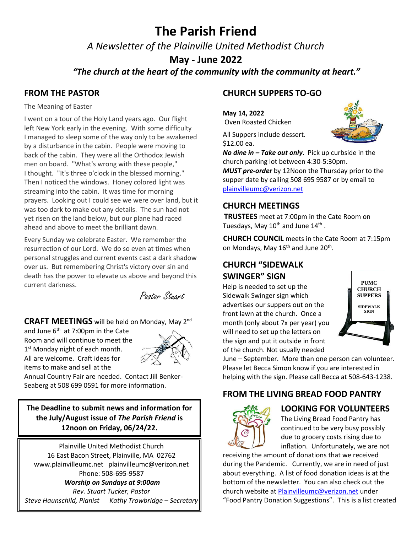# **The Parish Friend**

*A Newsletter of the Plainville United Methodist Church*

**May - June 2022**

 *"The church at the heart of the community with the community at heart."*

### **FROM THE PASTOR**

The Meaning of Easter

I went on a tour of the Holy Land years ago. Our flight left New York early in the evening. With some difficulty I managed to sleep some of the way only to be awakened by a disturbance in the cabin. People were moving to back of the cabin. They were all the Orthodox Jewish men on board. "What's wrong with these people," I thought. "It's three o'clock in the blessed morning." Then I noticed the windows. Honey colored light was streaming into the cabin. It was time for morning prayers. Looking out I could see we were over land, but it was too dark to make out any details. The sun had not yet risen on the land below, but our plane had raced ahead and above to meet the brilliant dawn.

Every Sunday we celebrate Easter. We remember the resurrection of our Lord. We do so even at times when personal struggles and current events cast a dark shadow over us. But remembering Christ's victory over sin and death has the power to elevate us above and beyond this current darkness.

Pastor Stuart

**CRAFT MEETINGS** will be held on Monday, May 2nd

and June  $6<sup>th</sup>$  at 7:00pm in the Cate Room and will continue to meet the 1<sup>st</sup> Monday night of each month. All are welcome. Craft ideas for items to make and sell at the



Annual Country Fair are needed. Contact Jill Benker-Seaberg at 508 699 0591 for more information.

**The Deadline to submit news and information for the July/August issue of** *The Parish Friend* **is 12noon on Friday, 06/24/22.**

Plainville United Methodist Church 16 East Bacon Street, Plainville, MA 02762 [www.plainvilleumc.net](http://www.plainvilleumc.net/) [plainvilleumc@verizon.net](mailto:plainvilleumc@verizon.net) Phone: 508-695-9587 *Worship on Sundays at 9:00am*

*Rev. Stuart Tucker, Pastor Steve Haunschild, Pianist Kathy Trowbridge – Secretary*

### **CHURCH SUPPERS TO-GO**

**May 14, 2022**  Oven Roasted Chicken

All Suppers include dessert. \$12.00 ea.



*No dine in – Take out only*. Pick up curbside in the church parking lot between 4:30-5:30pm. *MUST pre-order* by 12Noon the Thursday prior to the supper date by calling 508 695 9587 or by email to [plainvilleumc@verizon.net](mailto:plainvilleumc@verizon.net)

### **CHURCH MEETINGS**

 **TRUSTEES** meet at 7:00pm in the Cate Room on Tuesdays, May  $10^{\text{th}}$  and June  $14^{\text{th}}$  .

 **CHURCH COUNCIL** meets in the Cate Room at 7:15pm on Mondays, May 16<sup>th</sup> and June 20<sup>th</sup>.

### **CHURCH "SIDEWALK SWINGER" SIGN**

Help is needed to set up the Sidewalk Swinger sign which advertises our suppers out on the front lawn at the church. Once a month (only about 7x per year) you will need to set up the letters on the sign and put it outside in front of the church. Not usually needed



June – September. More than one person can volunteer. Please let Becca Simon know if you are interested in helping with the sign. Please call Becca at 508-643-1238.

# **FROM THE LIVING BREAD FOOD PANTRY**



# **LOOKING FOR VOLUNTEERS**

The Living Bread Food Pantry has continued to be very busy possibly due to grocery costs rising due to inflation. Unfortunately, we are not

receiving the amount of donations that we received during the Pandemic. Currently, we are in need of just about everything. A list of food donation ideas is at the bottom of the newsletter. You can also check out the church website at [Plainvilleumc@verizon.net](mailto:Plainvilleumc@verizon.net) under "Food Pantry Donation Suggestions". This is a list created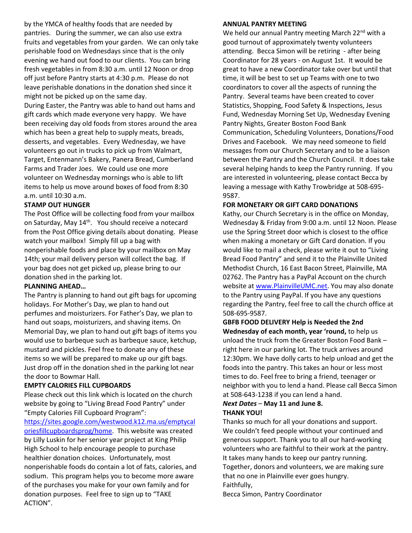by the YMCA of healthy foods that are needed by pantries. During the summer, we can also use extra fruits and vegetables from your garden. We can only take perishable food on Wednesdays since that is the only evening we hand out food to our clients. You can bring fresh vegetables in from 8:30 a.m. until 12 Noon or drop off just before Pantry starts at 4:30 p.m. Please do not leave perishable donations in the donation shed since it might not be picked up on the same day.

During Easter, the Pantry was able to hand out hams and gift cards which made everyone very happy. We have been receiving day old foods from stores around the area which has been a great help to supply meats, breads, desserts, and vegetables. Every Wednesday, we have volunteers go out in trucks to pick up from Walmart, Target, Entenmann's Bakery, Panera Bread, Cumberland Farms and Trader Joes. We could use one more volunteer on Wednesday mornings who is able to lift items to help us move around boxes of food from 8:30 a.m. until 10:30 a.m.

#### **STAMP OUT HUNGER**

The Post Office will be collecting food from your mailbox on Saturday, May 14<sup>th</sup>. You should receive a notecard from the Post Office giving details about donating. Please watch your mailbox! Simply fill up a bag with nonperishable foods and place by your mailbox on May 14th; your mail delivery person will collect the bag. If your bag does not get picked up, please bring to our donation shed in the parking lot.

#### **PLANNING AHEAD…**

ACTION".

The Pantry is planning to hand out gift bags for upcoming holidays. For Mother's Day, we plan to hand out perfumes and moisturizers. For Father's Day, we plan to hand out soaps, moisturizers, and shaving items. On Memorial Day, we plan to hand out gift bags of items you would use to barbeque such as barbeque sauce, ketchup, mustard and pickles. Feel free to donate any of these items so we will be prepared to make up our gift bags. Just drop off in the donation shed in the parking lot near the door to Bowmar Hall.

#### **EMPTY CALORIES FILL CUPBOARDS**

Please check out this link which is located on the church website by going to "Living Bread Food Pantry" under "Empty Calories Fill Cupboard Program":

[https://sites.google.com/westwood.k12.ma.us/emptycal](https://sites.google.com/westwood.k12.ma.us/emptycaloriesfillcupboardsprog/home) [oriesfillcupboardsprog/home.](https://sites.google.com/westwood.k12.ma.us/emptycaloriesfillcupboardsprog/home) This website was created by Lilly Luskin for her senior year project at King Philip High School to help encourage people to purchase healthier donation choices. Unfortunately, most nonperishable foods do contain a lot of fats, calories, and sodium. This program helps you to become more aware of the purchases you make for your own family and for donation purposes. Feel free to sign up to "TAKE

#### **ANNUAL PANTRY MEETING**

We held our annual Pantry meeting March 22<sup>nd</sup> with a good turnout of approximately twenty volunteers attending. Becca Simon will be retiring - after being Coordinator for 28 years - on August 1st. It would be great to have a new Coordinator take over but until that time, it will be best to set up Teams with one to two coordinators to cover all the aspects of running the Pantry. Several teams have been created to cover Statistics, Shopping, Food Safety & Inspections, Jesus Fund, Wednesday Morning Set Up, Wednesday Evening Pantry Nights, Greater Boston Food Bank Communication, Scheduling Volunteers, Donations/Food Drives and Facebook. We may need someone to field messages from our Church Secretary and to be a liaison between the Pantry and the Church Council. It does take several helping hands to keep the Pantry running. If you are interested in volunteering, please contact Becca by leaving a message with Kathy Trowbridge at 508-695- 9587.

#### **FOR MONETARY OR GIFT CARD DONATIONS**

Kathy, our Church Secretary is in the office on Monday, Wednesday & Friday from 9:00 a.m. until 12 Noon. Please use the Spring Street door which is closest to the office when making a monetary or Gift Card donation. If you would like to mail a check, please write it out to "Living Bread Food Pantry" and send it to the Plainville United Methodist Church, 16 East Bacon Street, Plainville, MA 02762. The Pantry has a PayPal Account on the church website at [www.PlainvilleUMC.net.](http://www.plainvilleumc.net/) You may also donate to the Pantry using PayPal. If you have any questions regarding the Pantry, feel free to call the church office at 508-695-9587.

**GBFB FOOD DELIVERY Help is Needed the 2nd Wednesday of each month, year 'round,** to help us unload the truck from the Greater Boston Food Bank – right here in our parking lot. The truck arrives around 12:30pm. We have dolly carts to help unload and get the foods into the pantry. This takes an hour or less most times to do. Feel free to bring a friend, teenager or neighbor with you to lend a hand. Please call Becca Simon at 508-643-1238 if you can lend a hand.

#### *Next Dates* – **May 11 and June 8. THANK YOU!**

Thanks so much for all your donations and support. We couldn't feed people without your continued and generous support. Thank you to all our hard-working volunteers who are faithful to their work at the pantry. It takes many hands to keep our pantry running. Together, donors and volunteers, we are making sure that no one in Plainville ever goes hungry. Faithfully,

Becca Simon, Pantry Coordinator